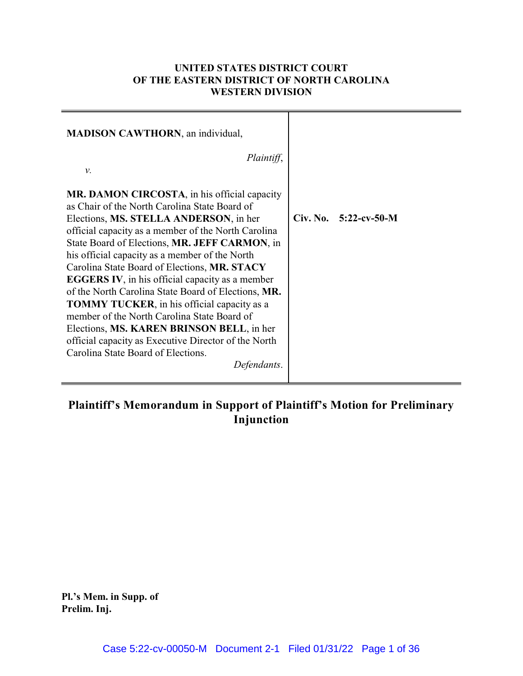## **UNITED STATES DISTRICT COURT OF THE EASTERN DISTRICT OF NORTH CAROLINA WESTERN DIVISION**

| <b>MADISON CAWTHORN</b> , an individual,                                                                                                                                                                                                                                                                                                                                                                                                                                                                                                                                                                                                                                                                                            |                         |  |
|-------------------------------------------------------------------------------------------------------------------------------------------------------------------------------------------------------------------------------------------------------------------------------------------------------------------------------------------------------------------------------------------------------------------------------------------------------------------------------------------------------------------------------------------------------------------------------------------------------------------------------------------------------------------------------------------------------------------------------------|-------------------------|--|
| Plaintiff,                                                                                                                                                                                                                                                                                                                                                                                                                                                                                                                                                                                                                                                                                                                          |                         |  |
| ν.                                                                                                                                                                                                                                                                                                                                                                                                                                                                                                                                                                                                                                                                                                                                  |                         |  |
| MR. DAMON CIRCOSTA, in his official capacity<br>as Chair of the North Carolina State Board of<br>Elections, MS. STELLA ANDERSON, in her<br>official capacity as a member of the North Carolina<br>State Board of Elections, MR. JEFF CARMON, in<br>his official capacity as a member of the North<br>Carolina State Board of Elections, MR. STACY<br><b>EGGERS IV</b> , in his official capacity as a member<br>of the North Carolina State Board of Elections, MR.<br><b>TOMMY TUCKER</b> , in his official capacity as a<br>member of the North Carolina State Board of<br>Elections, MS. KAREN BRINSON BELL, in her<br>official capacity as Executive Director of the North<br>Carolina State Board of Elections.<br>Defendants. | $Civ. No. 5:22-cv-50-M$ |  |

# **Plaintiff's Memorandum in Support of Plaintiff's Motion for Preliminary Injunction**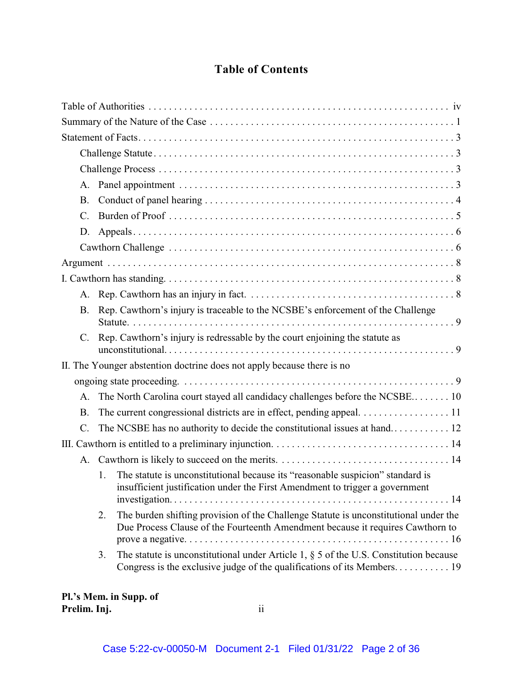# **Table of Contents**

| А.              |         |                                                                                                                                                                        |
|-----------------|---------|------------------------------------------------------------------------------------------------------------------------------------------------------------------------|
| <b>B.</b>       |         |                                                                                                                                                                        |
| $\mathcal{C}$ . |         |                                                                                                                                                                        |
| D.              |         |                                                                                                                                                                        |
|                 |         |                                                                                                                                                                        |
|                 |         |                                                                                                                                                                        |
|                 |         |                                                                                                                                                                        |
|                 |         |                                                                                                                                                                        |
| <b>B.</b>       |         | Rep. Cawthorn's injury is traceable to the NCSBE's enforcement of the Challenge                                                                                        |
|                 |         |                                                                                                                                                                        |
|                 |         | C. Rep. Cawthorn's injury is redressable by the court enjoining the statute as                                                                                         |
|                 |         | II. The Younger abstention doctrine does not apply because there is no                                                                                                 |
|                 |         |                                                                                                                                                                        |
| $A_{\cdot}$     |         | The North Carolina court stayed all candidacy challenges before the NCSBE 10                                                                                           |
| <b>B.</b>       |         | The current congressional districts are in effect, pending appeal. 11                                                                                                  |
| $C$ .           |         |                                                                                                                                                                        |
|                 |         |                                                                                                                                                                        |
| А.              |         |                                                                                                                                                                        |
|                 | $1_{-}$ | The statute is unconstitutional because its "reasonable suspicion" standard is<br>insufficient justification under the First Amendment to trigger a government         |
|                 | 2.      | The burden shifting provision of the Challenge Statute is unconstitutional under the<br>Due Process Clause of the Fourteenth Amendment because it requires Cawthorn to |
|                 | 3.      | The statute is unconstitutional under Article 1, $\S$ 5 of the U.S. Constitution because                                                                               |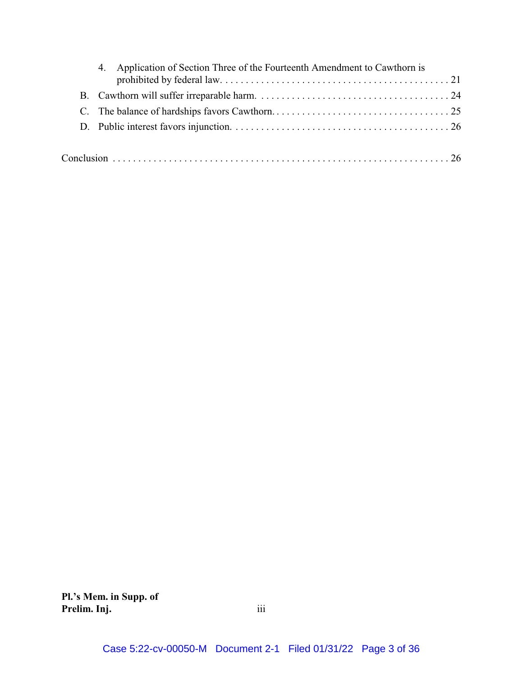| 4. Application of Section Three of the Fourteenth Amendment to Cawthorn is |
|----------------------------------------------------------------------------|
|                                                                            |
|                                                                            |
|                                                                            |
|                                                                            |
|                                                                            |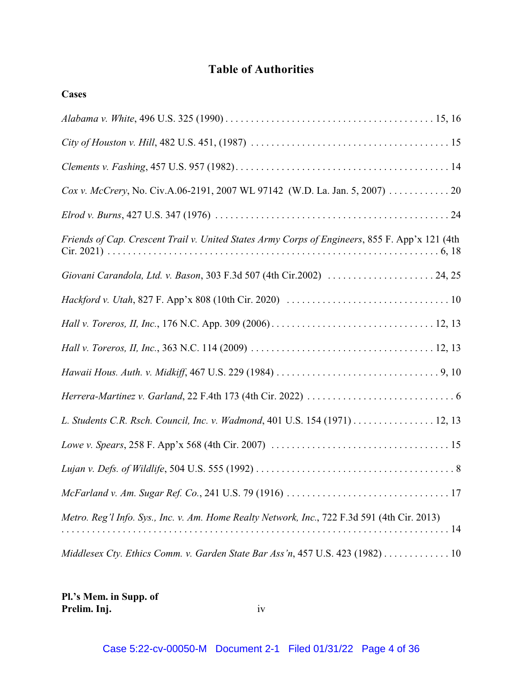# **Table of Authorities**

| Cox v. McCrery, No. Civ.A.06-2191, 2007 WL 97142 (W.D. La. Jan. 5, 2007) 20                    |
|------------------------------------------------------------------------------------------------|
|                                                                                                |
| Friends of Cap. Crescent Trail v. United States Army Corps of Engineers, 855 F. App'x 121 (4th |
|                                                                                                |
|                                                                                                |
|                                                                                                |
|                                                                                                |
|                                                                                                |
|                                                                                                |
| L. Students C.R. Rsch. Council, Inc. v. Wadmond, 401 U.S. 154 (1971) 12, 13                    |
|                                                                                                |
|                                                                                                |
|                                                                                                |
| Metro. Reg'l Info. Sys., Inc. v. Am. Home Realty Network, Inc., 722 F.3d 591 (4th Cir. 2013)   |
| Middlesex Cty. Ethics Comm. v. Garden State Bar Ass'n, 457 U.S. 423 (1982) 10                  |

**Pl.'s Mem. in Supp. of Prelim. Inj.** iv

**Cases**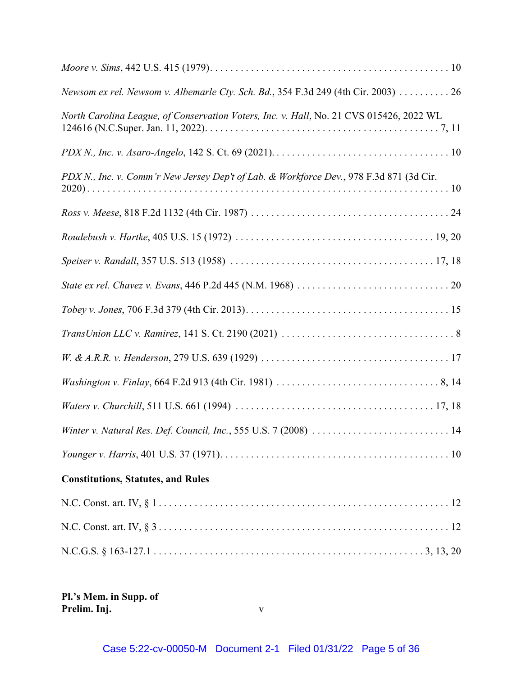| Newsom ex rel. Newsom v. Albemarle Cty. Sch. Bd., 354 F.3d 249 (4th Cir. 2003) 26       |
|-----------------------------------------------------------------------------------------|
| North Carolina League, of Conservation Voters, Inc. v. Hall, No. 21 CVS 015426, 2022 WL |
|                                                                                         |
| PDX N., Inc. v. Comm'r New Jersey Dep't of Lab. & Workforce Dev., 978 F.3d 871 (3d Cir. |
|                                                                                         |
|                                                                                         |
|                                                                                         |
|                                                                                         |
|                                                                                         |
|                                                                                         |
|                                                                                         |
|                                                                                         |
|                                                                                         |
| Winter v. Natural Res. Def. Council, Inc., 555 U.S. 7 (2008)  14                        |
|                                                                                         |
| <b>Constitutions, Statutes, and Rules</b>                                               |
|                                                                                         |
|                                                                                         |
|                                                                                         |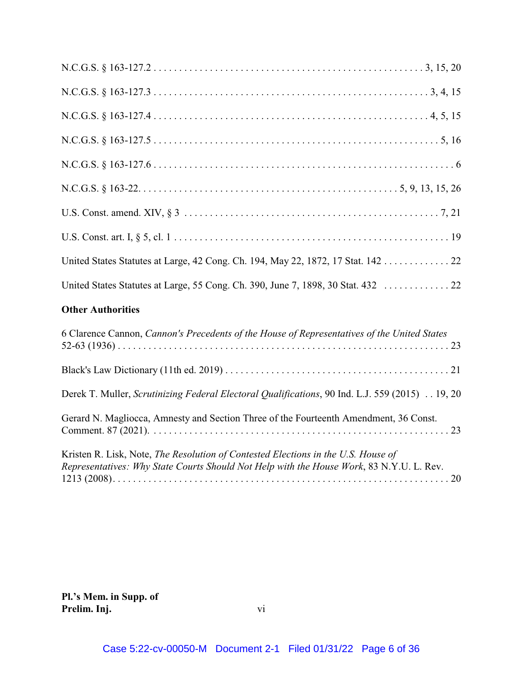| United States Statutes at Large, 42 Cong. Ch. 194, May 22, 1872, 17 Stat. 142 22                                                                                              |
|-------------------------------------------------------------------------------------------------------------------------------------------------------------------------------|
|                                                                                                                                                                               |
| <b>Other Authorities</b>                                                                                                                                                      |
| 6 Clarence Cannon, Cannon's Precedents of the House of Representatives of the United States                                                                                   |
|                                                                                                                                                                               |
| Derek T. Muller, Scrutinizing Federal Electoral Qualifications, 90 Ind. L.J. 559 (2015) 19, 20                                                                                |
| Gerard N. Magliocca, Amnesty and Section Three of the Fourteenth Amendment, 36 Const.                                                                                         |
| Kristen R. Lisk, Note, The Resolution of Contested Elections in the U.S. House of<br>Representatives: Why State Courts Should Not Help with the House Work, 83 N.Y.U. L. Rev. |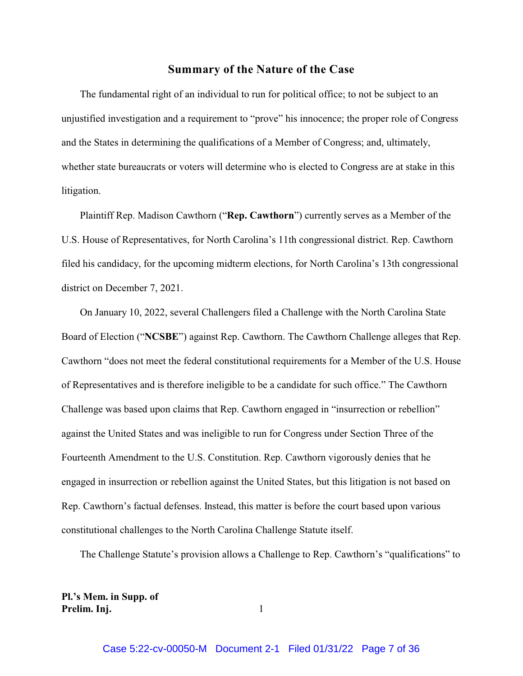### **Summary of the Nature of the Case**

The fundamental right of an individual to run for political office; to not be subject to an unjustified investigation and a requirement to "prove" his innocence; the proper role of Congress and the States in determining the qualifications of a Member of Congress; and, ultimately, whether state bureaucrats or voters will determine who is elected to Congress are at stake in this litigation.

Plaintiff Rep. Madison Cawthorn ("**Rep. Cawthorn**") currently serves as a Member of the U.S. House of Representatives, for North Carolina's 11th congressional district. Rep. Cawthorn filed his candidacy, for the upcoming midterm elections, for North Carolina's 13th congressional district on December 7, 2021.

On January 10, 2022, several Challengers filed a Challenge with the North Carolina State Board of Election ("**NCSBE**") against Rep. Cawthorn. The Cawthorn Challenge alleges that Rep. Cawthorn "does not meet the federal constitutional requirements for a Member of the U.S. House of Representatives and is therefore ineligible to be a candidate for such office." The Cawthorn Challenge was based upon claims that Rep. Cawthorn engaged in "insurrection or rebellion" against the United States and was ineligible to run for Congress under Section Three of the Fourteenth Amendment to the U.S. Constitution. Rep. Cawthorn vigorously denies that he engaged in insurrection or rebellion against the United States, but this litigation is not based on Rep. Cawthorn's factual defenses. Instead, this matter is before the court based upon various constitutional challenges to the North Carolina Challenge Statute itself.

The Challenge Statute's provision allows a Challenge to Rep. Cawthorn's "qualifications" to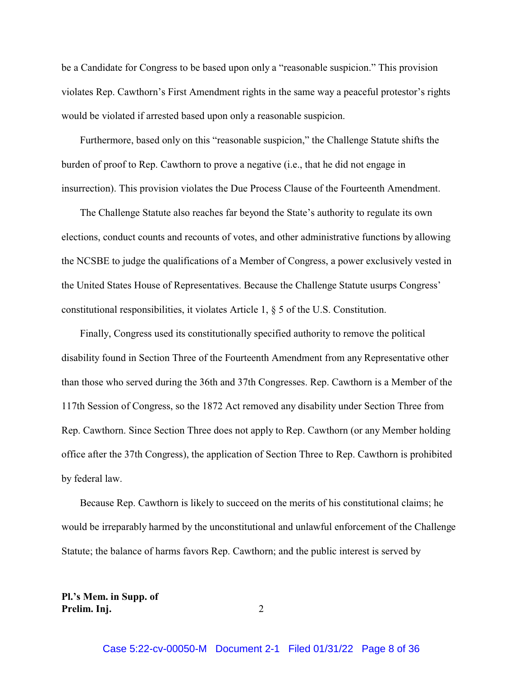be a Candidate for Congress to be based upon only a "reasonable suspicion." This provision violates Rep. Cawthorn's First Amendment rights in the same way a peaceful protestor's rights would be violated if arrested based upon only a reasonable suspicion.

Furthermore, based only on this "reasonable suspicion," the Challenge Statute shifts the burden of proof to Rep. Cawthorn to prove a negative (i.e., that he did not engage in insurrection). This provision violates the Due Process Clause of the Fourteenth Amendment.

The Challenge Statute also reaches far beyond the State's authority to regulate its own elections, conduct counts and recounts of votes, and other administrative functions by allowing the NCSBE to judge the qualifications of a Member of Congress, a power exclusively vested in the United States House of Representatives. Because the Challenge Statute usurps Congress' constitutional responsibilities, it violates Article 1, § 5 of the U.S. Constitution.

Finally, Congress used its constitutionally specified authority to remove the political disability found in Section Three of the Fourteenth Amendment from any Representative other than those who served during the 36th and 37th Congresses. Rep. Cawthorn is a Member of the 117th Session of Congress, so the 1872 Act removed any disability under Section Three from Rep. Cawthorn. Since Section Three does not apply to Rep. Cawthorn (or any Member holding office after the 37th Congress), the application of Section Three to Rep. Cawthorn is prohibited by federal law.

Because Rep. Cawthorn is likely to succeed on the merits of his constitutional claims; he would be irreparably harmed by the unconstitutional and unlawful enforcement of the Challenge Statute; the balance of harms favors Rep. Cawthorn; and the public interest is served by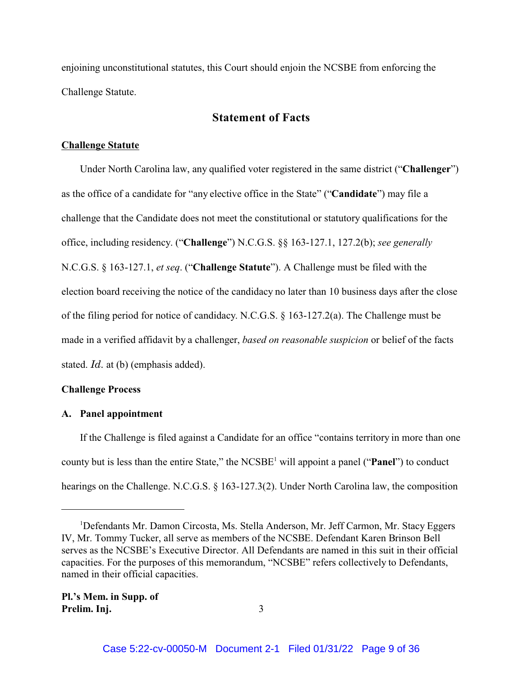enjoining unconstitutional statutes, this Court should enjoin the NCSBE from enforcing the Challenge Statute.

### **Statement of Facts**

### **Challenge Statute**

Under North Carolina law, any qualified voter registered in the same district ("**Challenger**") as the office of a candidate for "any elective office in the State" ("**Candidate**") may file a challenge that the Candidate does not meet the constitutional or statutory qualifications for the office, including residency. ("**Challenge**") N.C.G.S. §§ 163-127.1, 127.2(b); *see generally* N.C.G.S. § 163-127.1, *et seq*. ("**Challenge Statute**"). A Challenge must be filed with the election board receiving the notice of the candidacy no later than 10 business days after the close of the filing period for notice of candidacy. N.C.G.S. § 163-127.2(a). The Challenge must be made in a verified affidavit by a challenger, *based on reasonable suspicion* or belief of the facts stated. *Id.* at (b) (emphasis added).

### **Challenge Process**

### **A. Panel appointment**

If the Challenge is filed against a Candidate for an office "contains territory in more than one county but is less than the entire State," the NCSBE<sup>1</sup> will appoint a panel ("**Panel**") to conduct hearings on the Challenge. N.C.G.S. § 163-127.3(2). Under North Carolina law, the composition

<sup>1</sup>Defendants Mr. Damon Circosta, Ms. Stella Anderson, Mr. Jeff Carmon, Mr. Stacy Eggers IV, Mr. Tommy Tucker, all serve as members of the NCSBE. Defendant Karen Brinson Bell serves as the NCSBE's Executive Director. All Defendants are named in this suit in their official capacities. For the purposes of this memorandum, "NCSBE" refers collectively to Defendants, named in their official capacities.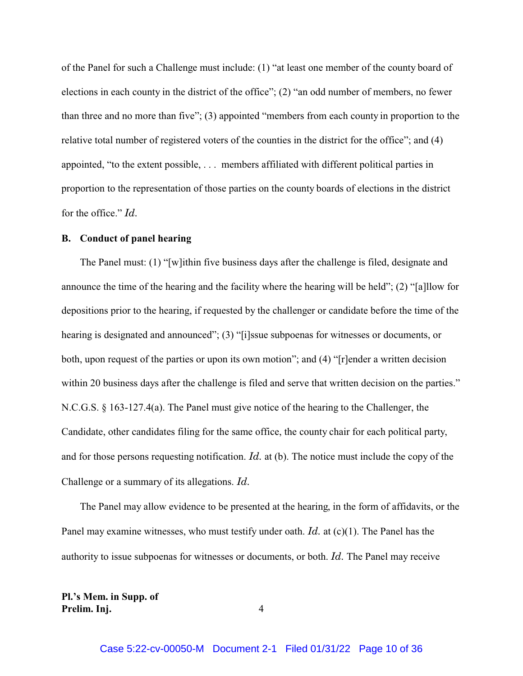of the Panel for such a Challenge must include: (1) "at least one member of the county board of elections in each county in the district of the office"; (2) "an odd number of members, no fewer than three and no more than five"; (3) appointed "members from each county in proportion to the relative total number of registered voters of the counties in the district for the office"; and (4) appointed, "to the extent possible, . . . members affiliated with different political parties in proportion to the representation of those parties on the county boards of elections in the district for the office." *Id.*

### **B. Conduct of panel hearing**

The Panel must: (1) "[w]ithin five business days after the challenge is filed, designate and announce the time of the hearing and the facility where the hearing will be held"; (2) "[a]llow for depositions prior to the hearing, if requested by the challenger or candidate before the time of the hearing is designated and announced"; (3) "[i]ssue subpoenas for witnesses or documents, or both, upon request of the parties or upon its own motion"; and (4) "[r]ender a written decision within 20 business days after the challenge is filed and serve that written decision on the parties." N.C.G.S. § 163-127.4(a). The Panel must give notice of the hearing to the Challenger, the Candidate, other candidates filing for the same office, the county chair for each political party, and for those persons requesting notification. *Id.* at (b). The notice must include the copy of the Challenge or a summary of its allegations. *Id.*

The Panel may allow evidence to be presented at the hearing, in the form of affidavits, or the Panel may examine witnesses, who must testify under oath. *Id.* at (c)(1). The Panel has the authority to issue subpoenas for witnesses or documents, or both. *Id.* The Panel may receive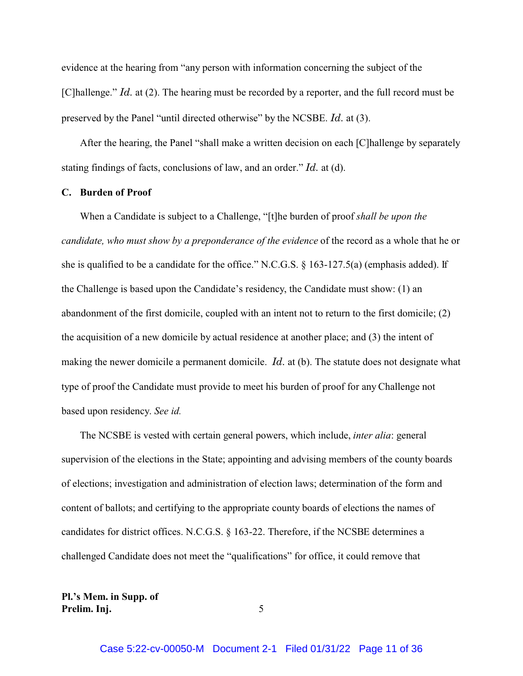evidence at the hearing from "any person with information concerning the subject of the [C]hallenge." *Id.* at (2). The hearing must be recorded by a reporter, and the full record must be preserved by the Panel "until directed otherwise" by the NCSBE. *Id.* at (3).

After the hearing, the Panel "shall make a written decision on each [C]hallenge by separately stating findings of facts, conclusions of law, and an order." *Id.* at (d).

### **C. Burden of Proof**

When a Candidate is subject to a Challenge, "[t]he burden of proof *shall be upon the candidate, who must show by a preponderance of the evidence* of the record as a whole that he or she is qualified to be a candidate for the office." N.C.G.S.  $\S$  163-127.5(a) (emphasis added). If the Challenge is based upon the Candidate's residency, the Candidate must show: (1) an abandonment of the first domicile, coupled with an intent not to return to the first domicile; (2) the acquisition of a new domicile by actual residence at another place; and (3) the intent of making the newer domicile a permanent domicile. *Id.* at (b). The statute does not designate what type of proof the Candidate must provide to meet his burden of proof for any Challenge not based upon residency. *See id.* 

The NCSBE is vested with certain general powers, which include, *inter alia*: general supervision of the elections in the State; appointing and advising members of the county boards of elections; investigation and administration of election laws; determination of the form and content of ballots; and certifying to the appropriate county boards of elections the names of candidates for district offices. N.C.G.S. § 163-22. Therefore, if the NCSBE determines a challenged Candidate does not meet the "qualifications" for office, it could remove that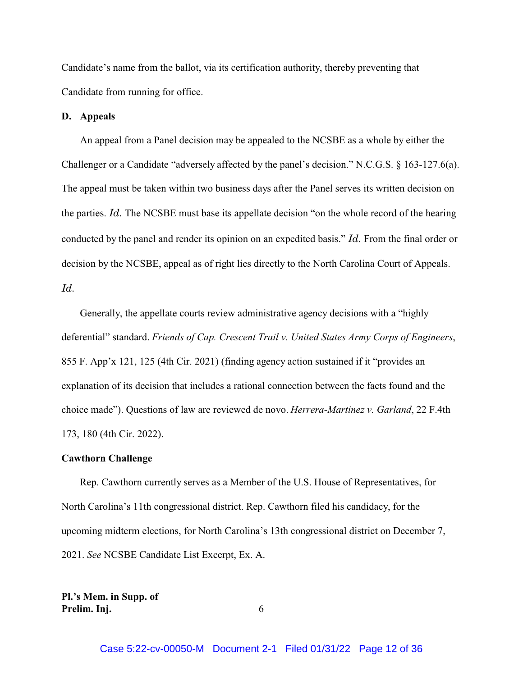Candidate's name from the ballot, via its certification authority, thereby preventing that Candidate from running for office.

#### **D. Appeals**

An appeal from a Panel decision may be appealed to the NCSBE as a whole by either the Challenger or a Candidate "adversely affected by the panel's decision." N.C.G.S. § 163-127.6(a). The appeal must be taken within two business days after the Panel serves its written decision on the parties. *Id.* The NCSBE must base its appellate decision "on the whole record of the hearing conducted by the panel and render its opinion on an expedited basis." *Id.* From the final order or decision by the NCSBE, appeal as of right lies directly to the North Carolina Court of Appeals. *Id.*

Generally, the appellate courts review administrative agency decisions with a "highly deferential" standard. *Friends of Cap. Crescent Trail v. United States Army Corps of Engineers*, 855 F. App'x 121, 125 (4th Cir. 2021) (finding agency action sustained if it "provides an explanation of its decision that includes a rational connection between the facts found and the choice made"). Questions of law are reviewed de novo. *Herrera-Martinez v. Garland*, 22 F.4th 173, 180 (4th Cir. 2022).

### **Cawthorn Challenge**

Rep. Cawthorn currently serves as a Member of the U.S. House of Representatives, for North Carolina's 11th congressional district. Rep. Cawthorn filed his candidacy, for the upcoming midterm elections, for North Carolina's 13th congressional district on December 7, 2021. *See* NCSBE Candidate List Excerpt, Ex. A.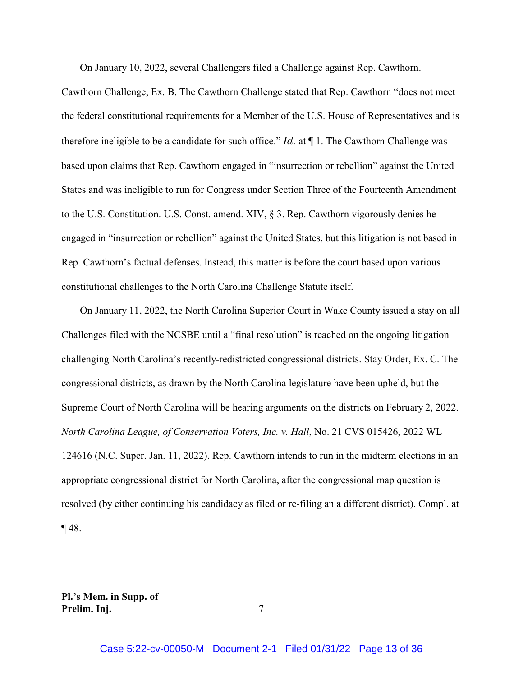On January 10, 2022, several Challengers filed a Challenge against Rep. Cawthorn.

Cawthorn Challenge, Ex. B. The Cawthorn Challenge stated that Rep. Cawthorn "does not meet the federal constitutional requirements for a Member of the U.S. House of Representatives and is therefore ineligible to be a candidate for such office." *Id.* at ¶ 1. The Cawthorn Challenge was based upon claims that Rep. Cawthorn engaged in "insurrection or rebellion" against the United States and was ineligible to run for Congress under Section Three of the Fourteenth Amendment to the U.S. Constitution. U.S. Const. amend. XIV, § 3. Rep. Cawthorn vigorously denies he engaged in "insurrection or rebellion" against the United States, but this litigation is not based in Rep. Cawthorn's factual defenses. Instead, this matter is before the court based upon various constitutional challenges to the North Carolina Challenge Statute itself.

On January 11, 2022, the North Carolina Superior Court in Wake County issued a stay on all Challenges filed with the NCSBE until a "final resolution" is reached on the ongoing litigation challenging North Carolina's recently-redistricted congressional districts. Stay Order, Ex. C. The congressional districts, as drawn by the North Carolina legislature have been upheld, but the Supreme Court of North Carolina will be hearing arguments on the districts on February 2, 2022. *North Carolina League, of Conservation Voters, Inc. v. Hall*, No. 21 CVS 015426, 2022 WL 124616 (N.C. Super. Jan. 11, 2022). Rep. Cawthorn intends to run in the midterm elections in an appropriate congressional district for North Carolina, after the congressional map question is resolved (by either continuing his candidacy as filed or re-filing an a different district). Compl. at ¶ 48.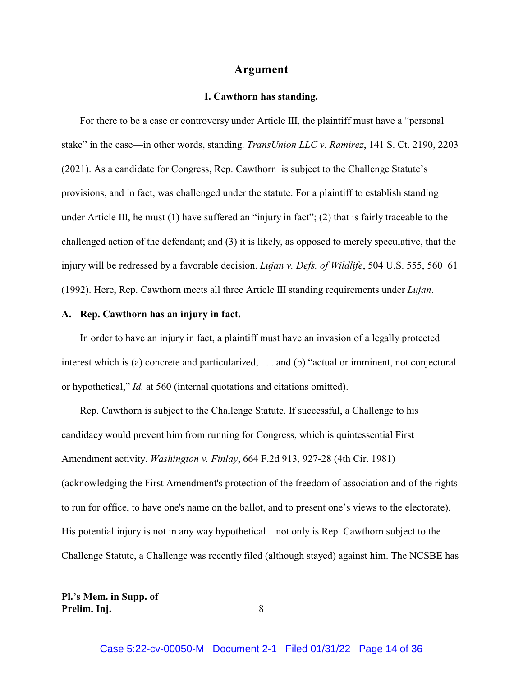#### **Argument**

#### **I. Cawthorn has standing.**

For there to be a case or controversy under Article III, the plaintiff must have a "personal stake" in the case—in other words, standing. *TransUnion LLC v. Ramirez*, 141 S. Ct. 2190, 2203 (2021). As a candidate for Congress, Rep. Cawthorn is subject to the Challenge Statute's provisions, and in fact, was challenged under the statute. For a plaintiff to establish standing under Article III, he must (1) have suffered an "injury in fact"; (2) that is fairly traceable to the challenged action of the defendant; and (3) it is likely, as opposed to merely speculative, that the injury will be redressed by a favorable decision. *Lujan v. Defs. of Wildlife*, 504 U.S. 555, 560–61 (1992). Here, Rep. Cawthorn meets all three Article III standing requirements under *Lujan*.

### **A. Rep. Cawthorn has an injury in fact.**

In order to have an injury in fact, a plaintiff must have an invasion of a legally protected interest which is (a) concrete and particularized, . . . and (b) "actual or imminent, not conjectural or hypothetical," *Id.* at 560 (internal quotations and citations omitted).

Rep. Cawthorn is subject to the Challenge Statute. If successful, a Challenge to his candidacy would prevent him from running for Congress, which is quintessential First Amendment activity. *Washington v. Finlay*, 664 F.2d 913, 927-28 (4th Cir. 1981) (acknowledging the First Amendment's protection of the freedom of association and of the rights to run for office, to have one's name on the ballot, and to present one's views to the electorate). His potential injury is not in any way hypothetical—not only is Rep. Cawthorn subject to the Challenge Statute, a Challenge was recently filed (although stayed) against him. The NCSBE has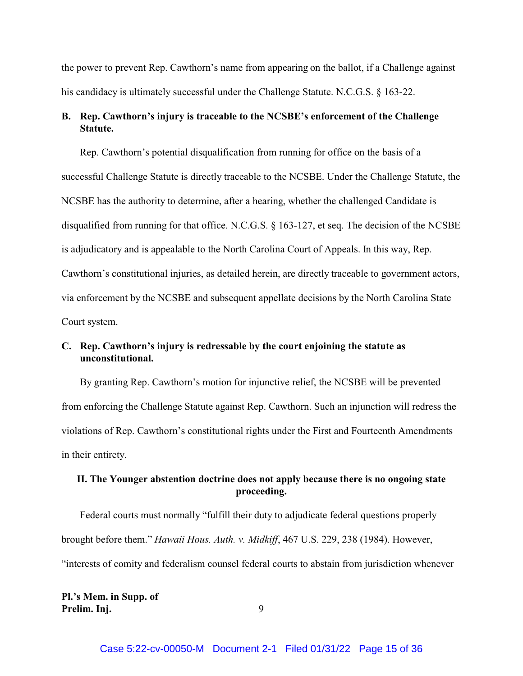the power to prevent Rep. Cawthorn's name from appearing on the ballot, if a Challenge against his candidacy is ultimately successful under the Challenge Statute. N.C.G.S. § 163-22.

### **B. Rep. Cawthorn's injury is traceable to the NCSBE's enforcement of the Challenge Statute.**

Rep. Cawthorn's potential disqualification from running for office on the basis of a successful Challenge Statute is directly traceable to the NCSBE. Under the Challenge Statute, the NCSBE has the authority to determine, after a hearing, whether the challenged Candidate is disqualified from running for that office. N.C.G.S. § 163-127, et seq. The decision of the NCSBE is adjudicatory and is appealable to the North Carolina Court of Appeals. In this way, Rep. Cawthorn's constitutional injuries, as detailed herein, are directly traceable to government actors, via enforcement by the NCSBE and subsequent appellate decisions by the North Carolina State Court system.

### **C. Rep. Cawthorn's injury is redressable by the court enjoining the statute as unconstitutional.**

By granting Rep. Cawthorn's motion for injunctive relief, the NCSBE will be prevented from enforcing the Challenge Statute against Rep. Cawthorn. Such an injunction will redress the violations of Rep. Cawthorn's constitutional rights under the First and Fourteenth Amendments in their entirety.

### **II. The Younger abstention doctrine does not apply because there is no ongoing state proceeding.**

Federal courts must normally "fulfill their duty to adjudicate federal questions properly brought before them." *Hawaii Hous. Auth. v. Midkiff*, 467 U.S. 229, 238 (1984). However, "interests of comity and federalism counsel federal courts to abstain from jurisdiction whenever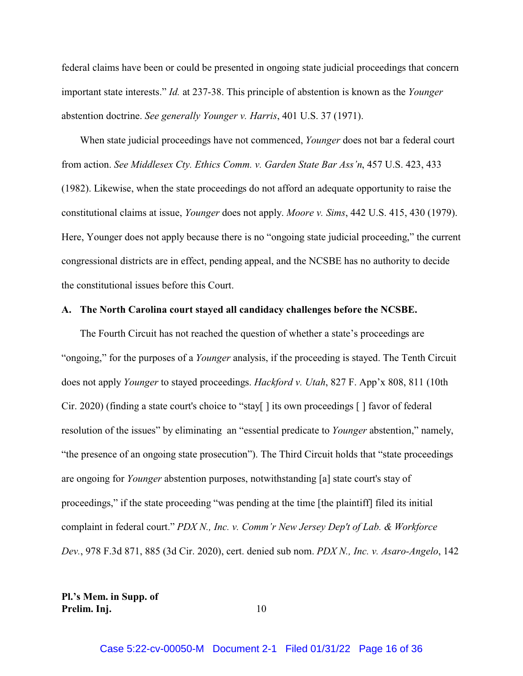federal claims have been or could be presented in ongoing state judicial proceedings that concern important state interests." *Id.* at 237-38. This principle of abstention is known as the *Younger* abstention doctrine. *See generally Younger v. Harris*, 401 U.S. 37 (1971).

When state judicial proceedings have not commenced, *Younger* does not bar a federal court from action. *See Middlesex Cty. Ethics Comm. v. Garden State Bar Ass'n*, 457 U.S. 423, 433 (1982). Likewise, when the state proceedings do not afford an adequate opportunity to raise the constitutional claims at issue, *Younger* does not apply. *Moore v. Sims*, 442 U.S. 415, 430 (1979). Here, Younger does not apply because there is no "ongoing state judicial proceeding," the current congressional districts are in effect, pending appeal, and the NCSBE has no authority to decide the constitutional issues before this Court.

### **A. The North Carolina court stayed all candidacy challenges before the NCSBE.**

The Fourth Circuit has not reached the question of whether a state's proceedings are "ongoing," for the purposes of a *Younger* analysis, if the proceeding is stayed. The Tenth Circuit does not apply *Younger* to stayed proceedings. *Hackford v. Utah*, 827 F. App'x 808, 811 (10th Cir. 2020) (finding a state court's choice to "stay[ ] its own proceedings [ ] favor of federal resolution of the issues" by eliminating an "essential predicate to *Younger* abstention," namely, "the presence of an ongoing state prosecution"). The Third Circuit holds that "state proceedings are ongoing for *Younger* abstention purposes, notwithstanding [a] state court's stay of proceedings," if the state proceeding "was pending at the time [the plaintiff] filed its initial complaint in federal court." *PDX N., Inc. v. Comm'r New Jersey Dep't of Lab. & Workforce Dev.*, 978 F.3d 871, 885 (3d Cir. 2020), cert. denied sub nom. *PDX N., Inc. v. Asaro-Angelo*, 142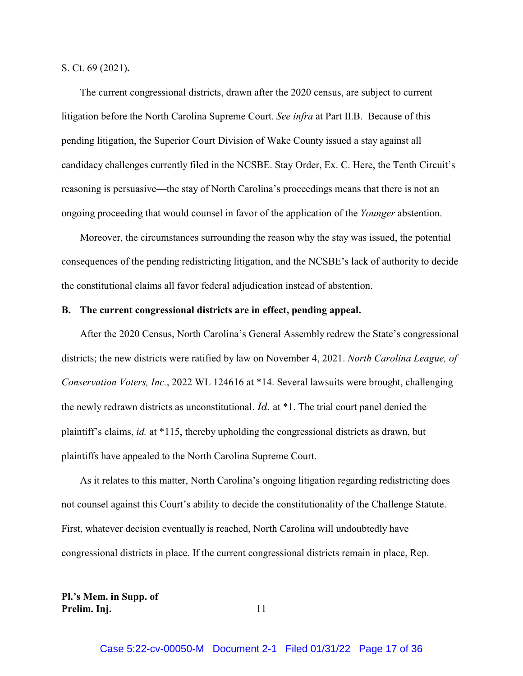S. Ct. 69 (2021)**.**

The current congressional districts, drawn after the 2020 census, are subject to current litigation before the North Carolina Supreme Court. *See infra* at Part II.B. Because of this pending litigation, the Superior Court Division of Wake County issued a stay against all candidacy challenges currently filed in the NCSBE. Stay Order, Ex. C. Here, the Tenth Circuit's reasoning is persuasive—the stay of North Carolina's proceedings means that there is not an ongoing proceeding that would counsel in favor of the application of the *Younger* abstention.

Moreover, the circumstances surrounding the reason why the stay was issued, the potential consequences of the pending redistricting litigation, and the NCSBE's lack of authority to decide the constitutional claims all favor federal adjudication instead of abstention.

#### **B. The current congressional districts are in effect, pending appeal.**

After the 2020 Census, North Carolina's General Assembly redrew the State's congressional districts; the new districts were ratified by law on November 4, 2021. *North Carolina League, of Conservation Voters, Inc.*, 2022 WL 124616 at \*14. Several lawsuits were brought, challenging the newly redrawn districts as unconstitutional. *Id.* at \*1. The trial court panel denied the plaintiff's claims, *id.* at \*115, thereby upholding the congressional districts as drawn, but plaintiffs have appealed to the North Carolina Supreme Court.

As it relates to this matter, North Carolina's ongoing litigation regarding redistricting does not counsel against this Court's ability to decide the constitutionality of the Challenge Statute. First, whatever decision eventually is reached, North Carolina will undoubtedly have congressional districts in place. If the current congressional districts remain in place, Rep.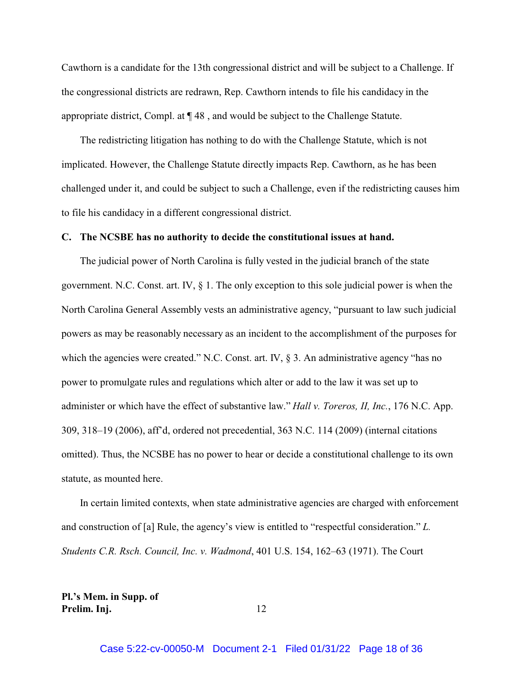Cawthorn is a candidate for the 13th congressional district and will be subject to a Challenge. If the congressional districts are redrawn, Rep. Cawthorn intends to file his candidacy in the appropriate district, Compl. at ¶ 48 , and would be subject to the Challenge Statute.

The redistricting litigation has nothing to do with the Challenge Statute, which is not implicated. However, the Challenge Statute directly impacts Rep. Cawthorn, as he has been challenged under it, and could be subject to such a Challenge, even if the redistricting causes him to file his candidacy in a different congressional district.

#### **C. The NCSBE has no authority to decide the constitutional issues at hand.**

The judicial power of North Carolina is fully vested in the judicial branch of the state government. N.C. Const. art. IV,  $\S$  1. The only exception to this sole judicial power is when the North Carolina General Assembly vests an administrative agency, "pursuant to law such judicial powers as may be reasonably necessary as an incident to the accomplishment of the purposes for which the agencies were created." N.C. Const. art. IV, § 3. An administrative agency "has no power to promulgate rules and regulations which alter or add to the law it was set up to administer or which have the effect of substantive law." *Hall v. Toreros, II, Inc.*, 176 N.C. App. 309, 318–19 (2006), aff'd, ordered not precedential, 363 N.C. 114 (2009) (internal citations omitted). Thus, the NCSBE has no power to hear or decide a constitutional challenge to its own statute, as mounted here.

In certain limited contexts, when state administrative agencies are charged with enforcement and construction of [a] Rule, the agency's view is entitled to "respectful consideration." *L. Students C.R. Rsch. Council, Inc. v. Wadmond*, 401 U.S. 154, 162–63 (1971). The Court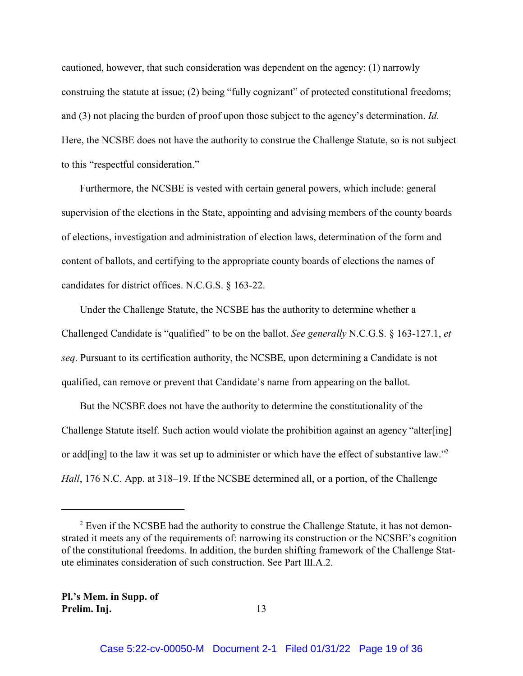cautioned, however, that such consideration was dependent on the agency: (1) narrowly construing the statute at issue; (2) being "fully cognizant" of protected constitutional freedoms; and (3) not placing the burden of proof upon those subject to the agency's determination. *Id.* Here, the NCSBE does not have the authority to construe the Challenge Statute, so is not subject to this "respectful consideration."

Furthermore, the NCSBE is vested with certain general powers, which include: general supervision of the elections in the State, appointing and advising members of the county boards of elections, investigation and administration of election laws, determination of the form and content of ballots, and certifying to the appropriate county boards of elections the names of candidates for district offices. N.C.G.S. § 163-22.

Under the Challenge Statute, the NCSBE has the authority to determine whether a Challenged Candidate is "qualified" to be on the ballot. *See generally* N.C.G.S. § 163-127.1, *et seq*. Pursuant to its certification authority, the NCSBE, upon determining a Candidate is not qualified, can remove or prevent that Candidate's name from appearing on the ballot.

But the NCSBE does not have the authority to determine the constitutionality of the Challenge Statute itself. Such action would violate the prohibition against an agency "alter[ing] or add[ing] to the law it was set up to administer or which have the effect of substantive law."<sup>2</sup> *Hall*, 176 N.C. App. at 318–19. If the NCSBE determined all, or a portion, of the Challenge

 $2$  Even if the NCSBE had the authority to construe the Challenge Statute, it has not demonstrated it meets any of the requirements of: narrowing its construction or the NCSBE's cognition of the constitutional freedoms. In addition, the burden shifting framework of the Challenge Statute eliminates consideration of such construction. See Part III.A.2.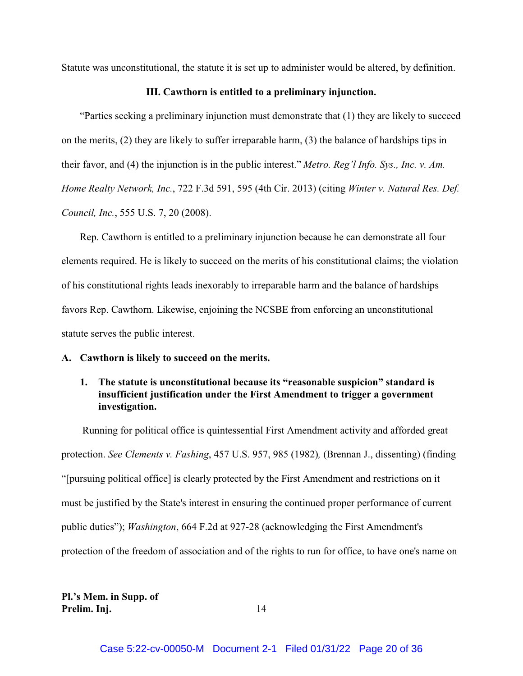Statute was unconstitutional, the statute it is set up to administer would be altered, by definition.

#### **III. Cawthorn is entitled to a preliminary injunction.**

"Parties seeking a preliminary injunction must demonstrate that (1) they are likely to succeed on the merits, (2) they are likely to suffer irreparable harm, (3) the balance of hardships tips in their favor, and (4) the injunction is in the public interest." *Metro. Reg'l Info. Sys., Inc. v. Am. Home Realty Network, Inc.*, 722 F.3d 591, 595 (4th Cir. 2013) (citing *Winter v. Natural Res. Def. Council, Inc.*, 555 U.S. 7, 20 (2008).

Rep. Cawthorn is entitled to a preliminary injunction because he can demonstrate all four elements required. He is likely to succeed on the merits of his constitutional claims; the violation of his constitutional rights leads inexorably to irreparable harm and the balance of hardships favors Rep. Cawthorn. Likewise, enjoining the NCSBE from enforcing an unconstitutional statute serves the public interest.

### **A. Cawthorn is likely to succeed on the merits.**

### **1. The statute is unconstitutional because its "reasonable suspicion" standard is insufficient justification under the First Amendment to trigger a government investigation.**

 Running for political office is quintessential First Amendment activity and afforded great protection. *See Clements v. Fashing*, 457 U.S. 957, 985 (1982)*,* (Brennan J., dissenting) (finding "[pursuing political office] is clearly protected by the First Amendment and restrictions on it must be justified by the State's interest in ensuring the continued proper performance of current public duties"); *Washington*, 664 F.2d at 927-28 (acknowledging the First Amendment's protection of the freedom of association and of the rights to run for office, to have one's name on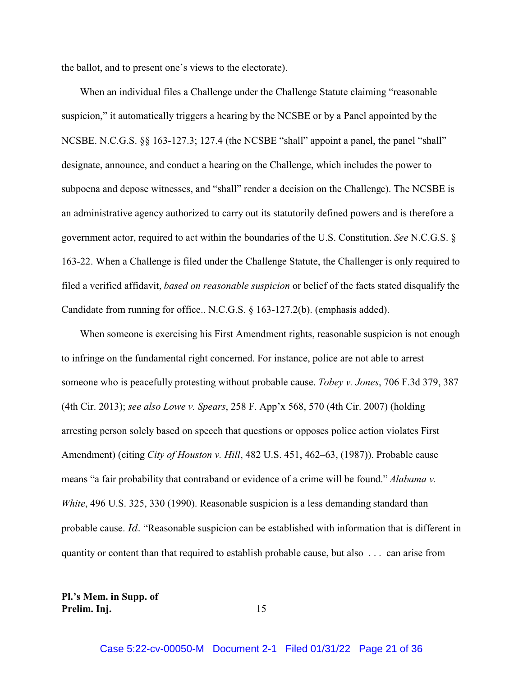the ballot, and to present one's views to the electorate).

When an individual files a Challenge under the Challenge Statute claiming "reasonable suspicion," it automatically triggers a hearing by the NCSBE or by a Panel appointed by the NCSBE. N.C.G.S. §§ 163-127.3; 127.4 (the NCSBE "shall" appoint a panel, the panel "shall" designate, announce, and conduct a hearing on the Challenge, which includes the power to subpoena and depose witnesses, and "shall" render a decision on the Challenge). The NCSBE is an administrative agency authorized to carry out its statutorily defined powers and is therefore a government actor, required to act within the boundaries of the U.S. Constitution. *See* N.C.G.S. § 163-22. When a Challenge is filed under the Challenge Statute, the Challenger is only required to filed a verified affidavit, *based on reasonable suspicion* or belief of the facts stated disqualify the Candidate from running for office.. N.C.G.S. § 163-127.2(b). (emphasis added).

When someone is exercising his First Amendment rights, reasonable suspicion is not enough to infringe on the fundamental right concerned. For instance, police are not able to arrest someone who is peacefully protesting without probable cause. *Tobey v. Jones*, 706 F.3d 379, 387 (4th Cir. 2013); *see also Lowe v. Spears*, 258 F. App'x 568, 570 (4th Cir. 2007) (holding arresting person solely based on speech that questions or opposes police action violates First Amendment) (citing *City of Houston v. Hill*, 482 U.S. 451, 462–63, (1987)). Probable cause means "a fair probability that contraband or evidence of a crime will be found." *Alabama v. White*, 496 U.S. 325, 330 (1990). Reasonable suspicion is a less demanding standard than probable cause. *Id.* "Reasonable suspicion can be established with information that is different in quantity or content than that required to establish probable cause, but also . . . can arise from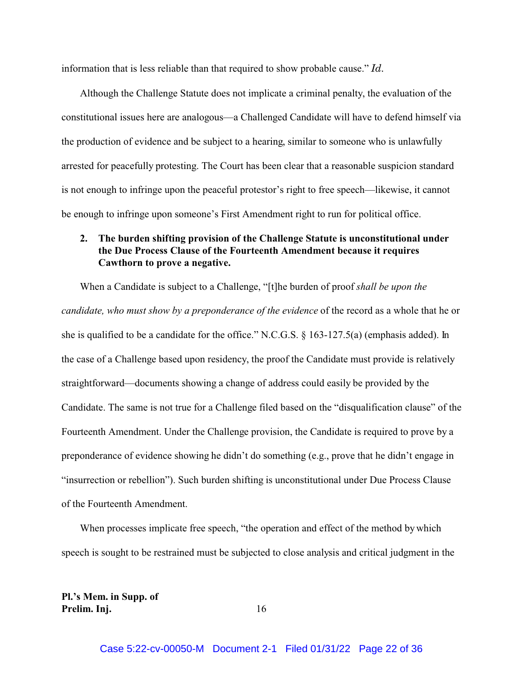information that is less reliable than that required to show probable cause." *Id.*

Although the Challenge Statute does not implicate a criminal penalty, the evaluation of the constitutional issues here are analogous—a Challenged Candidate will have to defend himself via the production of evidence and be subject to a hearing, similar to someone who is unlawfully arrested for peacefully protesting. The Court has been clear that a reasonable suspicion standard is not enough to infringe upon the peaceful protestor's right to free speech—likewise, it cannot be enough to infringe upon someone's First Amendment right to run for political office.

### **2. The burden shifting provision of the Challenge Statute is unconstitutional under the Due Process Clause of the Fourteenth Amendment because it requires Cawthorn to prove a negative.**

When a Candidate is subject to a Challenge, "[t]he burden of proof *shall be upon the candidate, who must show by a preponderance of the evidence* of the record as a whole that he or she is qualified to be a candidate for the office." N.C.G.S. § 163-127.5(a) (emphasis added). In the case of a Challenge based upon residency, the proof the Candidate must provide is relatively straightforward—documents showing a change of address could easily be provided by the Candidate. The same is not true for a Challenge filed based on the "disqualification clause" of the Fourteenth Amendment. Under the Challenge provision, the Candidate is required to prove by a preponderance of evidence showing he didn't do something (e.g., prove that he didn't engage in "insurrection or rebellion"). Such burden shifting is unconstitutional under Due Process Clause of the Fourteenth Amendment.

When processes implicate free speech, "the operation and effect of the method bywhich speech is sought to be restrained must be subjected to close analysis and critical judgment in the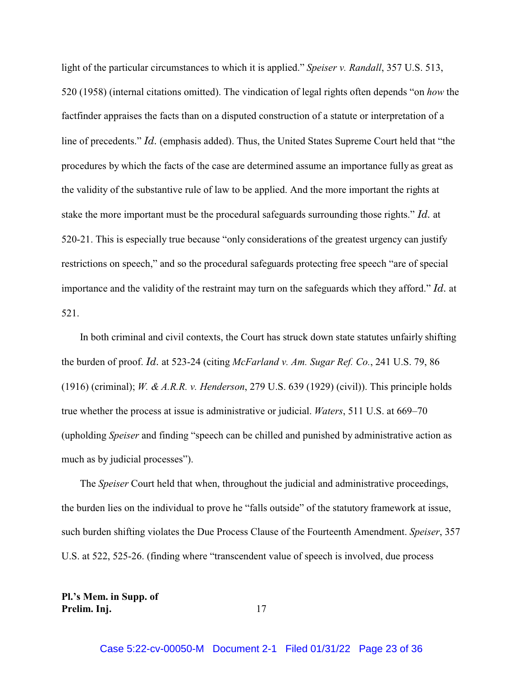light of the particular circumstances to which it is applied." *Speiser v. Randall*, 357 U.S. 513, 520 (1958) (internal citations omitted). The vindication of legal rights often depends "on *how* the factfinder appraises the facts than on a disputed construction of a statute or interpretation of a line of precedents." *Id.* (emphasis added). Thus, the United States Supreme Court held that "the procedures by which the facts of the case are determined assume an importance fully as great as the validity of the substantive rule of law to be applied. And the more important the rights at stake the more important must be the procedural safeguards surrounding those rights." *Id.* at 520-21. This is especially true because "only considerations of the greatest urgency can justify restrictions on speech," and so the procedural safeguards protecting free speech "are of special importance and the validity of the restraint may turn on the safeguards which they afford." *Id.* at 521.

In both criminal and civil contexts, the Court has struck down state statutes unfairly shifting the burden of proof. *Id.* at 523-24 (citing *McFarland v. Am. Sugar Ref. Co.*, 241 U.S. 79, 86 (1916) (criminal); *W. & A.R.R. v. Henderson*, 279 U.S. 639 (1929) (civil)). This principle holds true whether the process at issue is administrative or judicial. *Waters*, 511 U.S. at 669–70 (upholding *Speiser* and finding "speech can be chilled and punished by administrative action as much as by judicial processes").

The *Speiser* Court held that when, throughout the judicial and administrative proceedings, the burden lies on the individual to prove he "falls outside" of the statutory framework at issue, such burden shifting violates the Due Process Clause of the Fourteenth Amendment. *Speiser*, 357 U.S. at 522, 525-26. (finding where "transcendent value of speech is involved, due process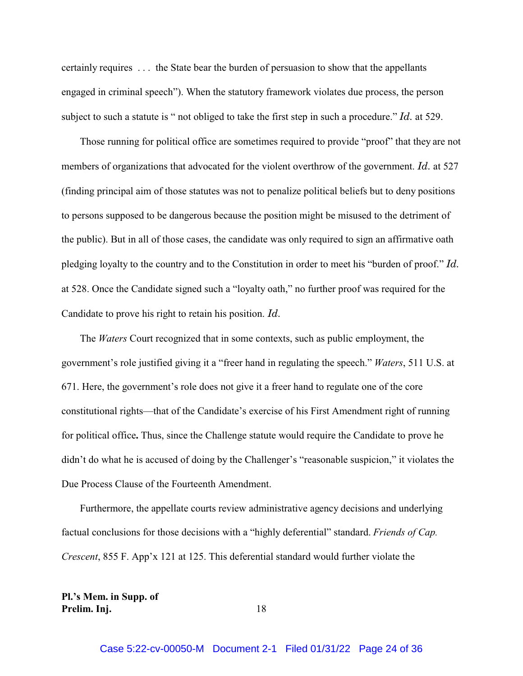certainly requires . . . the State bear the burden of persuasion to show that the appellants engaged in criminal speech"). When the statutory framework violates due process, the person subject to such a statute is " not obliged to take the first step in such a procedure." *Id.* at 529.

Those running for political office are sometimes required to provide "proof" that they are not members of organizations that advocated for the violent overthrow of the government. *Id.* at 527 (finding principal aim of those statutes was not to penalize political beliefs but to deny positions to persons supposed to be dangerous because the position might be misused to the detriment of the public). But in all of those cases, the candidate was only required to sign an affirmative oath pledging loyalty to the country and to the Constitution in order to meet his "burden of proof." *Id.* at 528. Once the Candidate signed such a "loyalty oath," no further proof was required for the Candidate to prove his right to retain his position. *Id.*

The *Waters* Court recognized that in some contexts, such as public employment, the government's role justified giving it a "freer hand in regulating the speech." *Waters*, 511 U.S. at 671. Here, the government's role does not give it a freer hand to regulate one of the core constitutional rights—that of the Candidate's exercise of his First Amendment right of running for political office**.** Thus, since the Challenge statute would require the Candidate to prove he didn't do what he is accused of doing by the Challenger's "reasonable suspicion," it violates the Due Process Clause of the Fourteenth Amendment.

Furthermore, the appellate courts review administrative agency decisions and underlying factual conclusions for those decisions with a "highly deferential" standard. *Friends of Cap. Crescent*, 855 F. App'x 121 at 125. This deferential standard would further violate the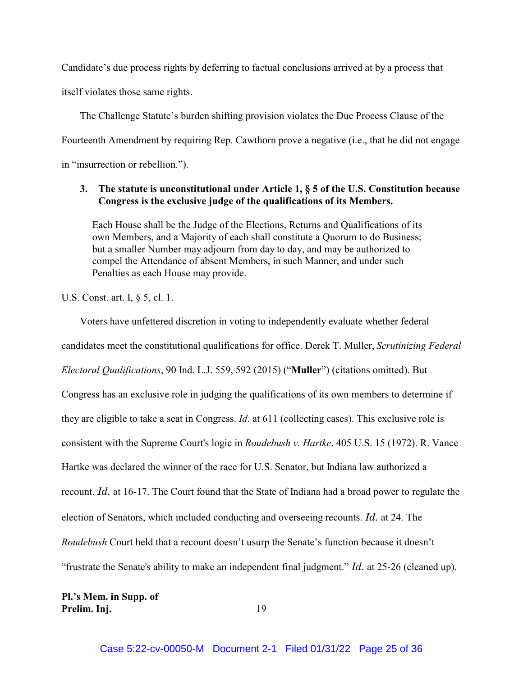Candidate's due process rights by deferring to factual conclusions arrived at by a process that itself violates those same rights.

The Challenge Statute's burden shifting provision violates the Due Process Clause of the Fourteenth Amendment by requiring Rep. Cawthorn prove a negative (i.e., that he did not engage in "insurrection or rebellion.").

### **3. The statute is unconstitutional under Article 1, § 5 of the U.S. Constitution because Congress is the exclusive judge of the qualifications of its Members.**

Each House shall be the Judge of the Elections, Returns and Qualifications of its own Members, and a Majority of each shall constitute a Quorum to do Business; but a smaller Number may adjourn from day to day, and may be authorized to compel the Attendance of absent Members, in such Manner, and under such Penalties as each House may provide.

U.S. Const. art. I, § 5, cl. 1.

Voters have unfettered discretion in voting to independently evaluate whether federal candidates meet the constitutional qualifications for office. Derek T. Muller, *Scrutinizing Federal Electoral Qualifications*, 90 Ind. L.J. 559, 592 (2015) ("**Muller**") (citations omitted). But Congress has an exclusive role in judging the qualifications of its own members to determine if they are eligible to take a seat in Congress. *Id*. at 611 (collecting cases). This exclusive role is consistent with the Supreme Court's logic in *Roudebush v. Hartke*. 405 U.S. 15 (1972). R. Vance Hartke was declared the winner of the race for U.S. Senator, but Indiana law authorized a recount. *Id.* at 16-17. The Court found that the State of Indiana had a broad power to regulate the election of Senators, which included conducting and overseeing recounts. *Id.* at 24. The *Roudebush* Court held that a recount doesn't usurp the Senate's function because it doesn't "frustrate the Senate's ability to make an independent final judgment." *Id.* at 25-26 (cleaned up).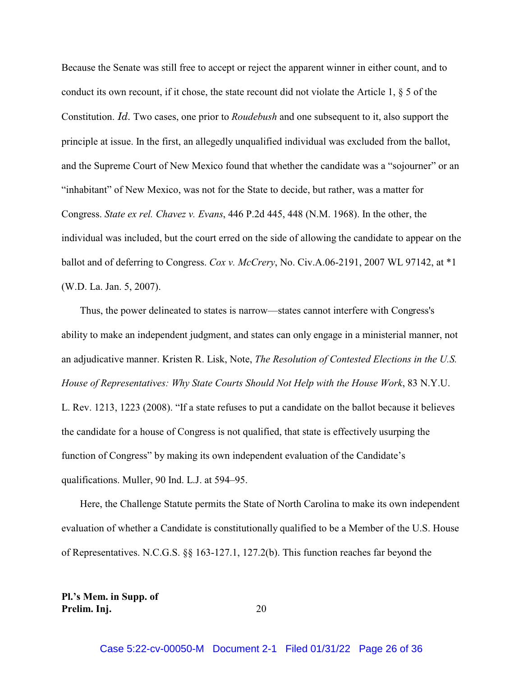Because the Senate was still free to accept or reject the apparent winner in either count, and to conduct its own recount, if it chose, the state recount did not violate the Article 1,  $\S$  5 of the Constitution. *Id.* Two cases, one prior to *Roudebush* and one subsequent to it, also support the principle at issue. In the first, an allegedly unqualified individual was excluded from the ballot, and the Supreme Court of New Mexico found that whether the candidate was a "sojourner" or an "inhabitant" of New Mexico, was not for the State to decide, but rather, was a matter for Congress. *State ex rel. Chavez v. Evans*, 446 P.2d 445, 448 (N.M. 1968). In the other, the individual was included, but the court erred on the side of allowing the candidate to appear on the ballot and of deferring to Congress. *Cox v. McCrery*, No. Civ.A.06-2191, 2007 WL 97142, at \*1 (W.D. La. Jan. 5, 2007).

Thus, the power delineated to states is narrow—states cannot interfere with Congress's ability to make an independent judgment, and states can only engage in a ministerial manner, not an adjudicative manner. Kristen R. Lisk, Note, *The Resolution of Contested Elections in the U.S. House of Representatives: Why State Courts Should Not Help with the House Work*, 83 N.Y.U. L. Rev. 1213, 1223 (2008). "If a state refuses to put a candidate on the ballot because it believes the candidate for a house of Congress is not qualified, that state is effectively usurping the function of Congress" by making its own independent evaluation of the Candidate's qualifications. Muller, 90 Ind. L.J. at 594–95.

Here, the Challenge Statute permits the State of North Carolina to make its own independent evaluation of whether a Candidate is constitutionally qualified to be a Member of the U.S. House of Representatives. N.C.G.S. §§ 163-127.1, 127.2(b). This function reaches far beyond the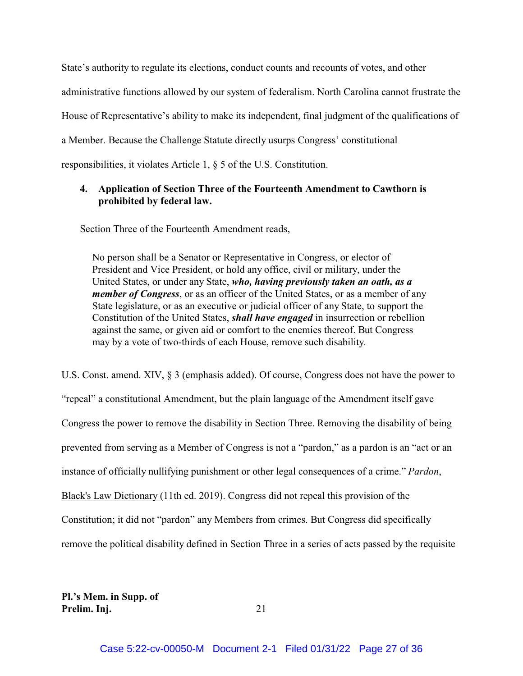State's authority to regulate its elections, conduct counts and recounts of votes, and other

administrative functions allowed by our system of federalism. North Carolina cannot frustrate the

House of Representative's ability to make its independent, final judgment of the qualifications of

a Member. Because the Challenge Statute directly usurps Congress' constitutional

responsibilities, it violates Article 1, § 5 of the U.S. Constitution.

### **4. Application of Section Three of the Fourteenth Amendment to Cawthorn is prohibited by federal law.**

Section Three of the Fourteenth Amendment reads,

No person shall be a Senator or Representative in Congress, or elector of President and Vice President, or hold any office, civil or military, under the United States, or under any State, *who, having previously taken an oath, as a member of Congress*, or as an officer of the United States, or as a member of any State legislature, or as an executive or judicial officer of any State, to support the Constitution of the United States, *shall have engaged* in insurrection or rebellion against the same, or given aid or comfort to the enemies thereof. But Congress may by a vote of two-thirds of each House, remove such disability.

U.S. Const. amend. XIV, § 3 (emphasis added). Of course, Congress does not have the power to "repeal" a constitutional Amendment, but the plain language of the Amendment itself gave Congress the power to remove the disability in Section Three. Removing the disability of being prevented from serving as a Member of Congress is not a "pardon," as a pardon is an "act or an instance of officially nullifying punishment or other legal consequences of a crime." *Pardon*, Black's Law Dictionary (11th ed. 2019). Congress did not repeal this provision of the Constitution; it did not "pardon" any Members from crimes. But Congress did specifically remove the political disability defined in Section Three in a series of acts passed by the requisite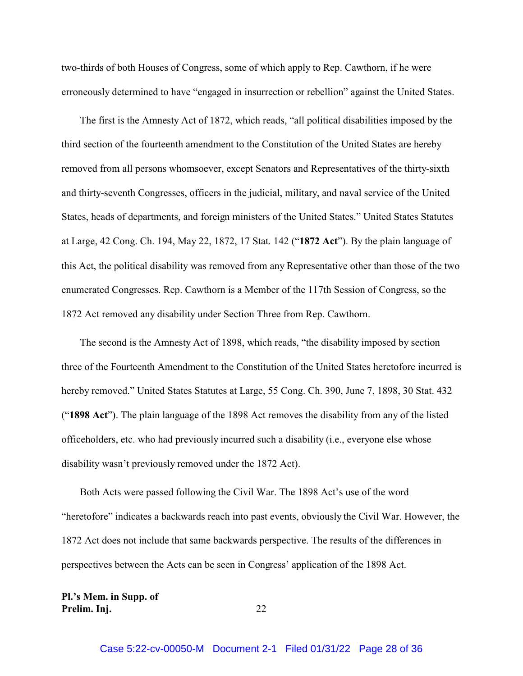two-thirds of both Houses of Congress, some of which apply to Rep. Cawthorn, if he were erroneously determined to have "engaged in insurrection or rebellion" against the United States.

The first is the Amnesty Act of 1872, which reads, "all political disabilities imposed by the third section of the fourteenth amendment to the Constitution of the United States are hereby removed from all persons whomsoever, except Senators and Representatives of the thirty-sixth and thirty-seventh Congresses, officers in the judicial, military, and naval service of the United States, heads of departments, and foreign ministers of the United States." United States Statutes at Large, 42 Cong. Ch. 194, May 22, 1872, 17 Stat. 142 ("**1872 Act**"). By the plain language of this Act, the political disability was removed from any Representative other than those of the two enumerated Congresses. Rep. Cawthorn is a Member of the 117th Session of Congress, so the 1872 Act removed any disability under Section Three from Rep. Cawthorn.

The second is the Amnesty Act of 1898, which reads, "the disability imposed by section three of the Fourteenth Amendment to the Constitution of the United States heretofore incurred is hereby removed." United States Statutes at Large, 55 Cong. Ch. 390, June 7, 1898, 30 Stat. 432 ("**1898 Act**"). The plain language of the 1898 Act removes the disability from any of the listed officeholders, etc. who had previously incurred such a disability (i.e., everyone else whose disability wasn't previously removed under the 1872 Act).

Both Acts were passed following the Civil War. The 1898 Act's use of the word "heretofore" indicates a backwards reach into past events, obviously the Civil War. However, the 1872 Act does not include that same backwards perspective. The results of the differences in perspectives between the Acts can be seen in Congress' application of the 1898 Act.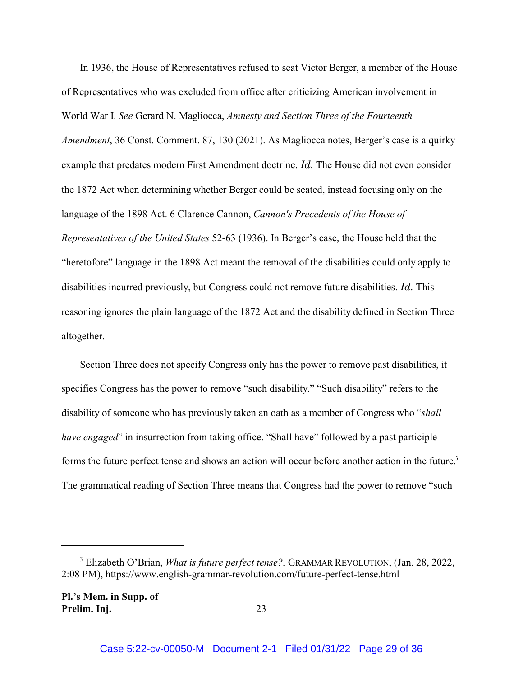In 1936, the House of Representatives refused to seat Victor Berger, a member of the House of Representatives who was excluded from office after criticizing American involvement in World War I. *See* Gerard N. Magliocca, *Amnesty and Section Three of the Fourteenth Amendment*, 36 Const. Comment. 87, 130 (2021). As Magliocca notes, Berger's case is a quirky example that predates modern First Amendment doctrine. *Id.* The House did not even consider the 1872 Act when determining whether Berger could be seated, instead focusing only on the language of the 1898 Act. 6 Clarence Cannon, *Cannon's Precedents of the House of Representatives of the United States* 52-63 (1936). In Berger's case, the House held that the "heretofore" language in the 1898 Act meant the removal of the disabilities could only apply to disabilities incurred previously, but Congress could not remove future disabilities. *Id.* This reasoning ignores the plain language of the 1872 Act and the disability defined in Section Three altogether.

Section Three does not specify Congress only has the power to remove past disabilities, it specifies Congress has the power to remove "such disability." "Such disability" refers to the disability of someone who has previously taken an oath as a member of Congress who "*shall have engaged*" in insurrection from taking office. "Shall have" followed by a past participle forms the future perfect tense and shows an action will occur before another action in the future.<sup>3</sup> The grammatical reading of Section Three means that Congress had the power to remove "such

<sup>3</sup> Elizabeth O'Brian, *What is future perfect tense?*, GRAMMAR REVOLUTION, (Jan. 28, 2022, 2:08 PM), https://www.english-grammar-revolution.com/future-perfect-tense.html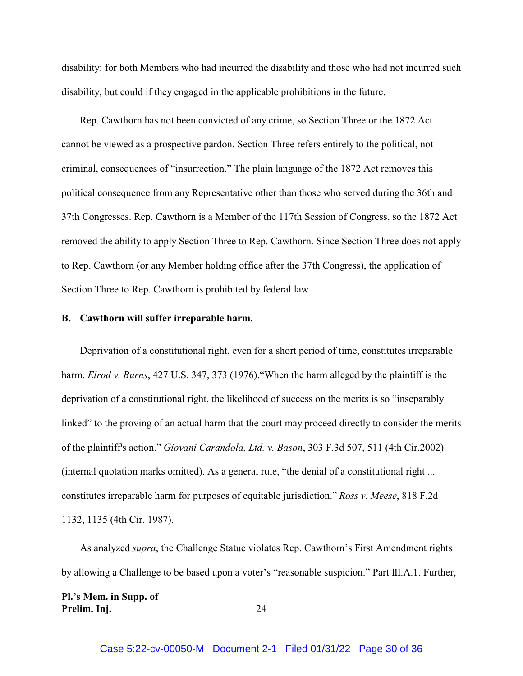disability: for both Members who had incurred the disability and those who had not incurred such disability, but could if they engaged in the applicable prohibitions in the future.

Rep. Cawthorn has not been convicted of any crime, so Section Three or the 1872 Act cannot be viewed as a prospective pardon. Section Three refers entirely to the political, not criminal, consequences of "insurrection." The plain language of the 1872 Act removes this political consequence from any Representative other than those who served during the 36th and 37th Congresses. Rep. Cawthorn is a Member of the 117th Session of Congress, so the 1872 Act removed the ability to apply Section Three to Rep. Cawthorn. Since Section Three does not apply to Rep. Cawthorn (or any Member holding office after the 37th Congress), the application of Section Three to Rep. Cawthorn is prohibited by federal law.

#### **B. Cawthorn will suffer irreparable harm.**

Deprivation of a constitutional right, even for a short period of time, constitutes irreparable harm. *Elrod v. Burns*, 427 U.S. 347, 373 (1976)."When the harm alleged by the plaintiff is the deprivation of a constitutional right, the likelihood of success on the merits is so "inseparably linked" to the proving of an actual harm that the court may proceed directly to consider the merits of the plaintiff's action." *Giovani Carandola, Ltd. v. Bason*, 303 F.3d 507, 511 (4th Cir.2002) (internal quotation marks omitted). As a general rule, "the denial of a constitutional right ... constitutes irreparable harm for purposes of equitable jurisdiction." *Ross v. Meese*, 818 F.2d 1132, 1135 (4th Cir. 1987).

As analyzed *supra*, the Challenge Statue violates Rep. Cawthorn's First Amendment rights by allowing a Challenge to be based upon a voter's "reasonable suspicion." Part III.A.1. Further,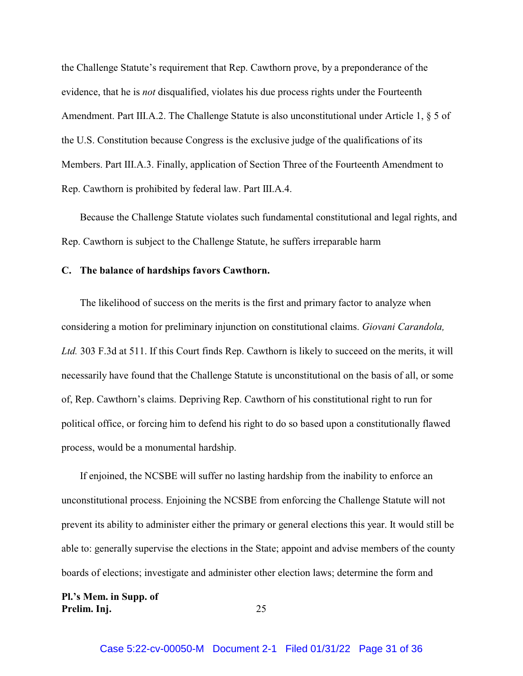the Challenge Statute's requirement that Rep. Cawthorn prove, by a preponderance of the evidence, that he is *not* disqualified, violates his due process rights under the Fourteenth Amendment. Part III.A.2. The Challenge Statute is also unconstitutional under Article 1, § 5 of the U.S. Constitution because Congress is the exclusive judge of the qualifications of its Members. Part III.A.3. Finally, application of Section Three of the Fourteenth Amendment to Rep. Cawthorn is prohibited by federal law. Part III.A.4.

Because the Challenge Statute violates such fundamental constitutional and legal rights, and Rep. Cawthorn is subject to the Challenge Statute, he suffers irreparable harm

### **C. The balance of hardships favors Cawthorn.**

The likelihood of success on the merits is the first and primary factor to analyze when considering a motion for preliminary injunction on constitutional claims. *Giovani Carandola, Ltd.* 303 F.3d at 511. If this Court finds Rep. Cawthorn is likely to succeed on the merits, it will necessarily have found that the Challenge Statute is unconstitutional on the basis of all, or some of, Rep. Cawthorn's claims. Depriving Rep. Cawthorn of his constitutional right to run for political office, or forcing him to defend his right to do so based upon a constitutionally flawed process, would be a monumental hardship.

If enjoined, the NCSBE will suffer no lasting hardship from the inability to enforce an unconstitutional process. Enjoining the NCSBE from enforcing the Challenge Statute will not prevent its ability to administer either the primary or general elections this year. It would still be able to: generally supervise the elections in the State; appoint and advise members of the county boards of elections; investigate and administer other election laws; determine the form and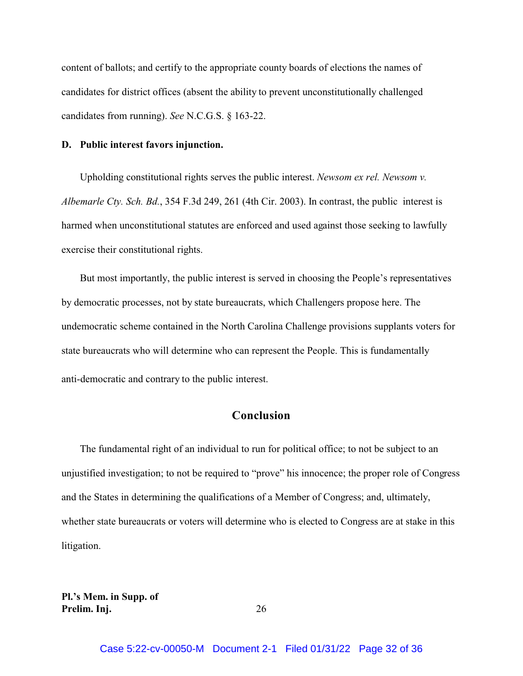content of ballots; and certify to the appropriate county boards of elections the names of candidates for district offices (absent the ability to prevent unconstitutionally challenged candidates from running). *See* N.C.G.S. § 163-22.

#### **D. Public interest favors injunction.**

Upholding constitutional rights serves the public interest. *Newsom ex rel. Newsom v. Albemarle Cty. Sch. Bd.*, 354 F.3d 249, 261 (4th Cir. 2003). In contrast, the public interest is harmed when unconstitutional statutes are enforced and used against those seeking to lawfully exercise their constitutional rights.

But most importantly, the public interest is served in choosing the People's representatives by democratic processes, not by state bureaucrats, which Challengers propose here. The undemocratic scheme contained in the North Carolina Challenge provisions supplants voters for state bureaucrats who will determine who can represent the People. This is fundamentally anti-democratic and contrary to the public interest.

### **Conclusion**

The fundamental right of an individual to run for political office; to not be subject to an unjustified investigation; to not be required to "prove" his innocence; the proper role of Congress and the States in determining the qualifications of a Member of Congress; and, ultimately, whether state bureaucrats or voters will determine who is elected to Congress are at stake in this litigation.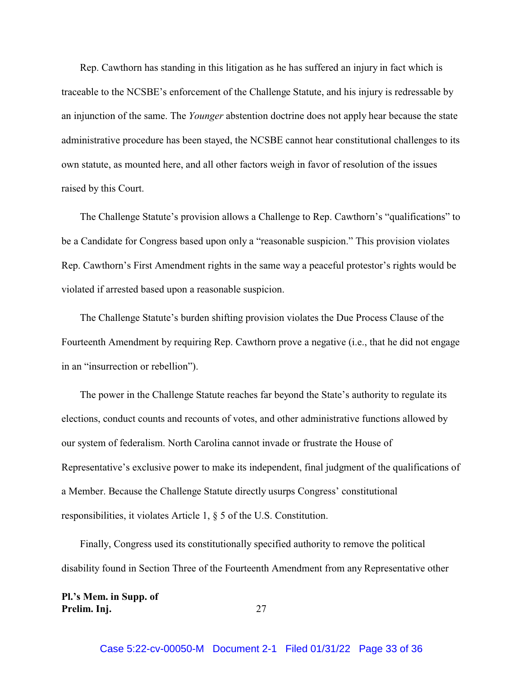Rep. Cawthorn has standing in this litigation as he has suffered an injury in fact which is traceable to the NCSBE's enforcement of the Challenge Statute, and his injury is redressable by an injunction of the same. The *Younger* abstention doctrine does not apply hear because the state administrative procedure has been stayed, the NCSBE cannot hear constitutional challenges to its own statute, as mounted here, and all other factors weigh in favor of resolution of the issues raised by this Court.

The Challenge Statute's provision allows a Challenge to Rep. Cawthorn's "qualifications" to be a Candidate for Congress based upon only a "reasonable suspicion." This provision violates Rep. Cawthorn's First Amendment rights in the same way a peaceful protestor's rights would be violated if arrested based upon a reasonable suspicion.

The Challenge Statute's burden shifting provision violates the Due Process Clause of the Fourteenth Amendment by requiring Rep. Cawthorn prove a negative (i.e., that he did not engage in an "insurrection or rebellion").

The power in the Challenge Statute reaches far beyond the State's authority to regulate its elections, conduct counts and recounts of votes, and other administrative functions allowed by our system of federalism. North Carolina cannot invade or frustrate the House of Representative's exclusive power to make its independent, final judgment of the qualifications of a Member. Because the Challenge Statute directly usurps Congress' constitutional responsibilities, it violates Article 1, § 5 of the U.S. Constitution.

Finally, Congress used its constitutionally specified authority to remove the political disability found in Section Three of the Fourteenth Amendment from any Representative other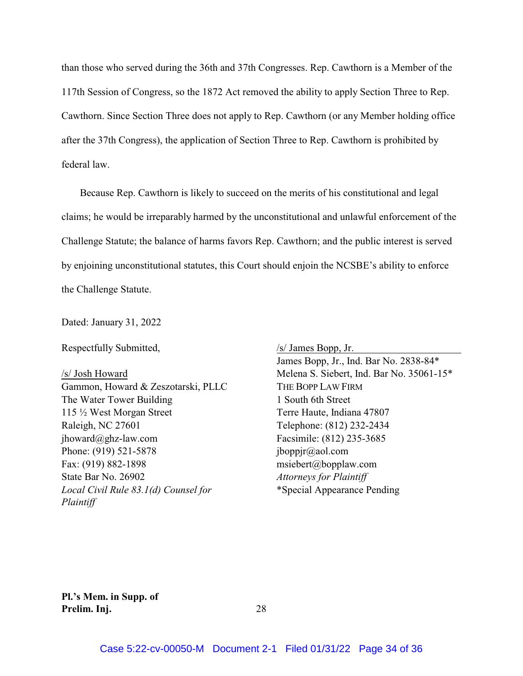than those who served during the 36th and 37th Congresses. Rep. Cawthorn is a Member of the 117th Session of Congress, so the 1872 Act removed the ability to apply Section Three to Rep. Cawthorn. Since Section Three does not apply to Rep. Cawthorn (or any Member holding office after the 37th Congress), the application of Section Three to Rep. Cawthorn is prohibited by federal law.

Because Rep. Cawthorn is likely to succeed on the merits of his constitutional and legal claims; he would be irreparably harmed by the unconstitutional and unlawful enforcement of the Challenge Statute; the balance of harms favors Rep. Cawthorn; and the public interest is served by enjoining unconstitutional statutes, this Court should enjoin the NCSBE's ability to enforce the Challenge Statute.

Dated: January 31, 2022

Respectfully Submitted,

/s/ Josh Howard Gammon, Howard & Zeszotarski, PLLC The Water Tower Building 115 ½ West Morgan Street Raleigh, NC 27601 jhoward@ghz-law.com Phone: (919) 521-5878 Fax: (919) 882-1898 State Bar No. 26902 *Local Civil Rule 83.1(d) Counsel for Plaintiff*

/s/ James Bopp, Jr. James Bopp, Jr., Ind. Bar No. 2838-84\* Melena S. Siebert, Ind. Bar No. 35061-15\* THE BOPP LAW FIRM 1 South 6th Street Terre Haute, Indiana 47807 Telephone: (812) 232-2434 Facsimile: (812) 235-3685 jboppjr@aol.com msiebert@bopplaw.com *Attorneys for Plaintiff* \*Special Appearance Pending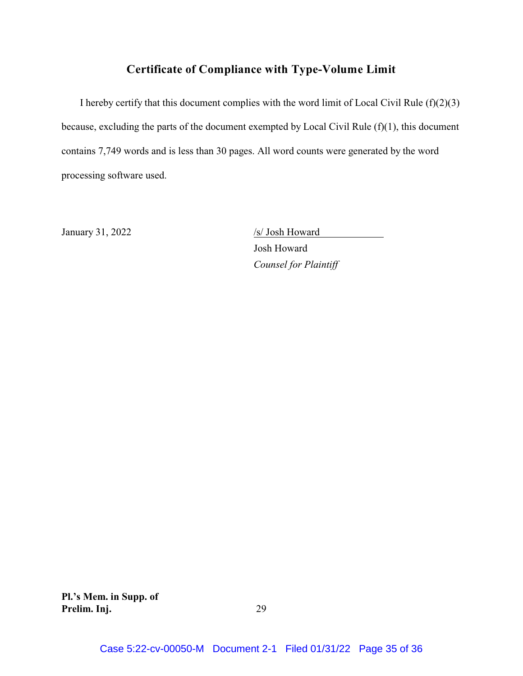## **Certificate of Compliance with Type-Volume Limit**

I hereby certify that this document complies with the word limit of Local Civil Rule  $(f)(2)(3)$ because, excluding the parts of the document exempted by Local Civil Rule (f)(1), this document contains 7,749 words and is less than 30 pages. All word counts were generated by the word processing software used.

January 31, 2022 /s/ Josh Howard

Josh Howard *Counsel for Plaintiff*